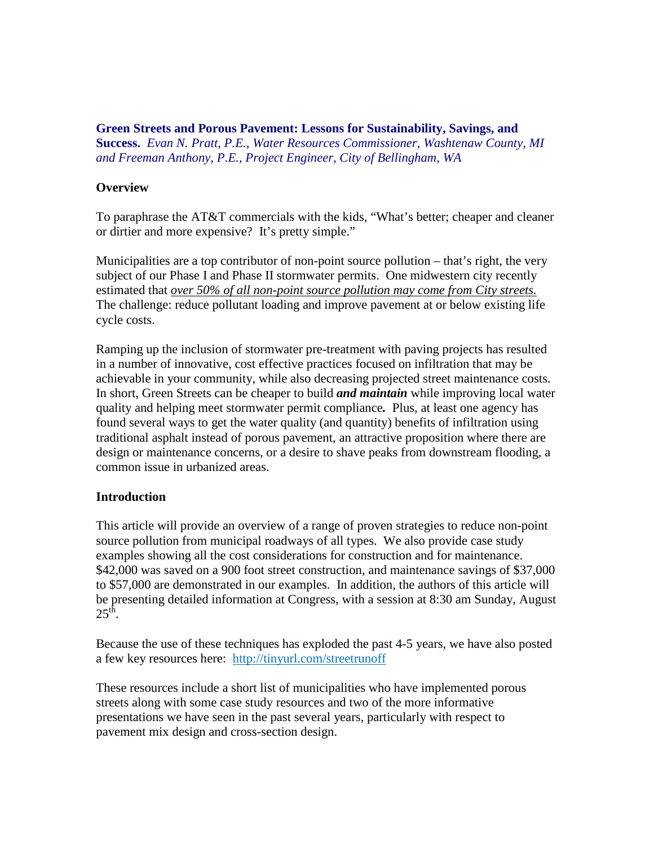**Green Streets and Porous Pavement: Lessons for Sustainability, Savings, and Success.** *Evan N. Pratt, P.E., Water Resources Commissioner, Washtenaw County, MI and Freeman Anthony, P.E., Project Engineer, City of Bellingham, WA*

## **Overview**

To paraphrase the AT&T commercials with the kids, "What's better; cheaper and cleaner or dirtier and more expensive? It's pretty simple."

Municipalities are a top contributor of non-point source pollution – that's right, the very subject of our Phase I and Phase II stormwater permits. One midwestern city recently estimated that *over 50% of all non-point source pollution may come from City streets.* The challenge: reduce pollutant loading and improve pavement at or below existing life cycle costs.

Ramping up the inclusion of stormwater pre-treatment with paving projects has resulted in a number of innovative, cost effective practices focused on infiltration that may be achievable in your community, while also decreasing projected street maintenance costs. In short, Green Streets can be cheaper to build *and maintain* while improving local water quality and helping meet stormwater permit compliance*.* Plus, at least one agency has found several ways to get the water quality (and quantity) benefits of infiltration using traditional asphalt instead of porous pavement, an attractive proposition where there are design or maintenance concerns, or a desire to shave peaks from downstream flooding, a common issue in urbanized areas.

### **Introduction**

This article will provide an overview of a range of proven strategies to reduce non-point source pollution from municipal roadways of all types. We also provide case study examples showing all the cost considerations for construction and for maintenance. \$42,000 was saved on a 900 foot street construction, and maintenance savings of \$37,000 to \$57,000 are demonstrated in our examples. In addition, the authors of this article will be presenting detailed information at Congress, with a session at 8:30 am Sunday, August  $25<sup>th</sup>$ .

Because the use of these techniques has exploded the past 4-5 years, we have also posted a few key resources here: http://tinyurl.com/streetrunoff

These resources include a short list of municipalities who have implemented porous streets along with some case study resources and two of the more informative presentations we have seen in the past several years, particularly with respect to pavement mix design and cross-section design.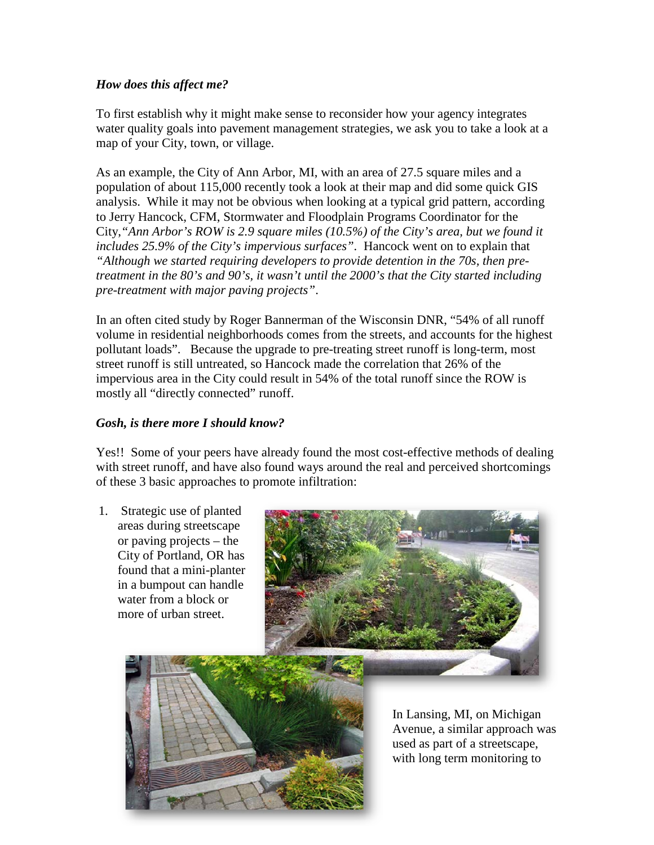## *How does this affect me?*

To first establish why it might make sense to reconsider how your agency integrates water quality goals into pavement management strategies, we ask you to take a look at a map of your City, town, or village.

As an example, the City of Ann Arbor, MI, with an area of 27.5 square miles and a population of about 115,000 recently took a look at their map and did some quick GIS analysis. While it may not be obvious when looking at a typical grid pattern, according to Jerry Hancock, CFM, Stormwater and Floodplain Programs Coordinator for the City,*"Ann Arbor's ROW is 2.9 square miles (10.5%) of the City's area, but we found it includes 25.9% of the City's impervious surfaces".* Hancock went on to explain that *"Although we started requiring developers to provide detention in the 70s, then pretreatment in the 80's and 90's, it wasn't until the 2000's that the City started including pre-treatment with major paving projects"*.

In an often cited study by Roger Bannerman of the Wisconsin DNR, "54% of all runoff volume in residential neighborhoods comes from the streets, and accounts for the highest pollutant loads". Because the upgrade to pre-treating street runoff is long-term, most street runoff is still untreated, so Hancock made the correlation that 26% of the impervious area in the City could result in 54% of the total runoff since the ROW is mostly all "directly connected" runoff.

# *Gosh, is there more I should know?*

Yes!! Some of your peers have already found the most cost-effective methods of dealing with street runoff, and have also found ways around the real and perceived shortcomings of these 3 basic approaches to promote infiltration:

1. Strategic use of planted areas during streetscape or paving projects – the City of Portland, OR has found that a mini-planter in a bumpout can handle water from a block or more of urban street.





In Lansing, MI, on Michigan Avenue, a similar approach was used as part of a streetscape, with long term monitoring to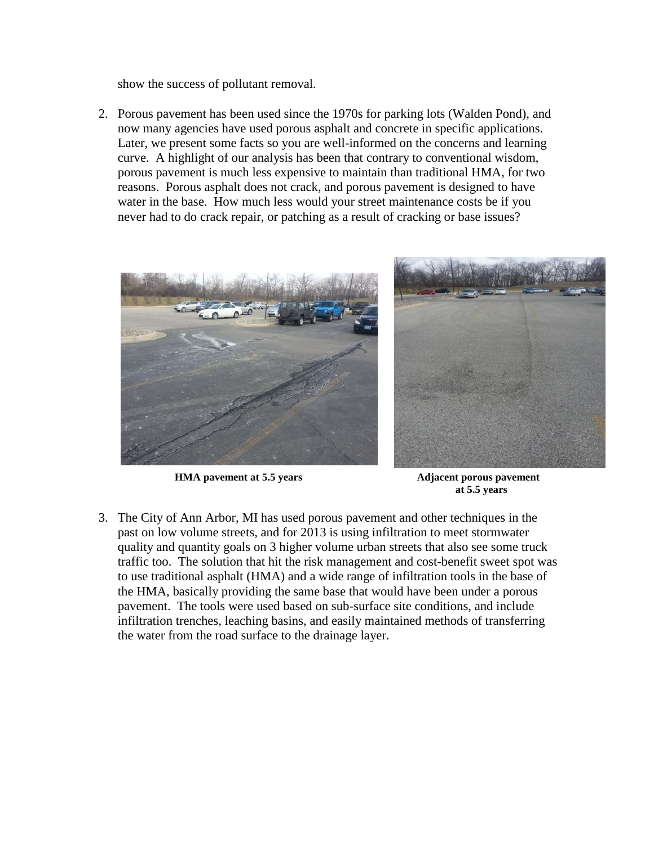show the success of pollutant removal.

2. Porous pavement has been used since the 1970s for parking lots (Walden Pond), and now many agencies have used porous asphalt and concrete in specific applications. Later, we present some facts so you are well-informed on the concerns and learning curve. A highlight of our analysis has been that contrary to conventional wisdom, porous pavement is much less expensive to maintain than traditional HMA, for two reasons. Porous asphalt does not crack, and porous pavement is designed to have water in the base. How much less would your street maintenance costs be if you never had to do crack repair, or patching as a result of cracking or base issues?



 **HMA pavement at 5.5 years Adjacent porous pavement** 

 **at 5.5 years**

3. The City of Ann Arbor, MI has used porous pavement and other techniques in the past on low volume streets, and for 2013 is using infiltration to meet stormwater quality and quantity goals on 3 higher volume urban streets that also see some truck traffic too. The solution that hit the risk management and cost-benefit sweet spot was to use traditional asphalt (HMA) and a wide range of infiltration tools in the base of the HMA, basically providing the same base that would have been under a porous pavement. The tools were used based on sub-surface site conditions, and include infiltration trenches, leaching basins, and easily maintained methods of transferring the water from the road surface to the drainage layer.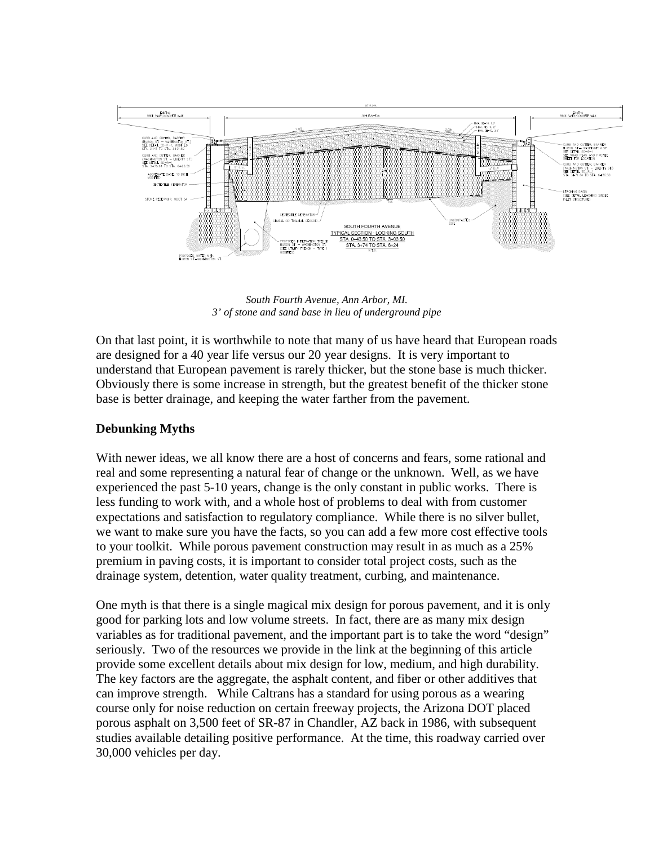

*South Fourth Avenue, Ann Arbor, MI. 3' of stone and sand base in lieu of underground pipe*

On that last point, it is worthwhile to note that many of us have heard that European roads are designed for a 40 year life versus our 20 year designs. It is very important to understand that European pavement is rarely thicker, but the stone base is much thicker. Obviously there is some increase in strength, but the greatest benefit of the thicker stone base is better drainage, and keeping the water farther from the pavement.

### **Debunking Myths**

With newer ideas, we all know there are a host of concerns and fears, some rational and real and some representing a natural fear of change or the unknown. Well, as we have experienced the past 5-10 years, change is the only constant in public works. There is less funding to work with, and a whole host of problems to deal with from customer expectations and satisfaction to regulatory compliance. While there is no silver bullet, we want to make sure you have the facts, so you can add a few more cost effective tools to your toolkit. While porous pavement construction may result in as much as a 25% premium in paving costs, it is important to consider total project costs, such as the drainage system, detention, water quality treatment, curbing, and maintenance.

One myth is that there is a single magical mix design for porous pavement, and it is only good for parking lots and low volume streets. In fact, there are as many mix design variables as for traditional pavement, and the important part is to take the word "design" seriously. Two of the resources we provide in the link at the beginning of this article provide some excellent details about mix design for low, medium, and high durability. The key factors are the aggregate, the asphalt content, and fiber or other additives that can improve strength. While Caltrans has a standard for using porous as a wearing course only for noise reduction on certain freeway projects, the Arizona DOT placed porous asphalt on 3,500 feet of SR-87 in Chandler, AZ back in 1986, with subsequent studies available detailing positive performance. At the time, this roadway carried over 30,000 vehicles per day.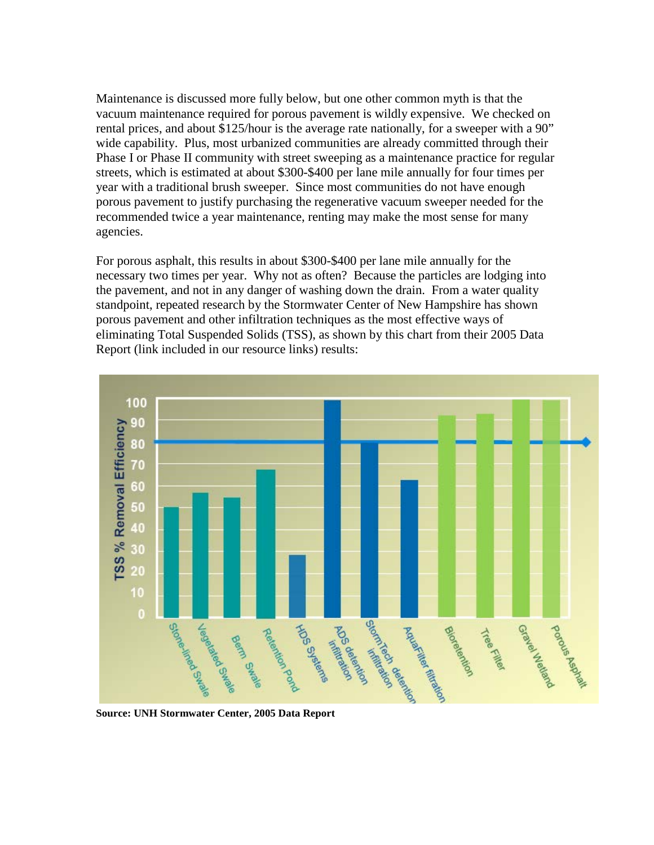Maintenance is discussed more fully below, but one other common myth is that the vacuum maintenance required for porous pavement is wildly expensive. We checked on rental prices, and about \$125/hour is the average rate nationally, for a sweeper with a 90" wide capability. Plus, most urbanized communities are already committed through their Phase I or Phase II community with street sweeping as a maintenance practice for regular streets, which is estimated at about \$300-\$400 per lane mile annually for four times per year with a traditional brush sweeper. Since most communities do not have enough porous pavement to justify purchasing the regenerative vacuum sweeper needed for the recommended twice a year maintenance, renting may make the most sense for many agencies.

For porous asphalt, this results in about \$300-\$400 per lane mile annually for the necessary two times per year. Why not as often? Because the particles are lodging into the pavement, and not in any danger of washing down the drain. From a water quality standpoint, repeated research by the Stormwater Center of New Hampshire has shown porous pavement and other infiltration techniques as the most effective ways of eliminating Total Suspended Solids (TSS), as shown by this chart from their 2005 Data Report (link included in our resource links) results:



**Source: UNH Stormwater Center, 2005 Data Report**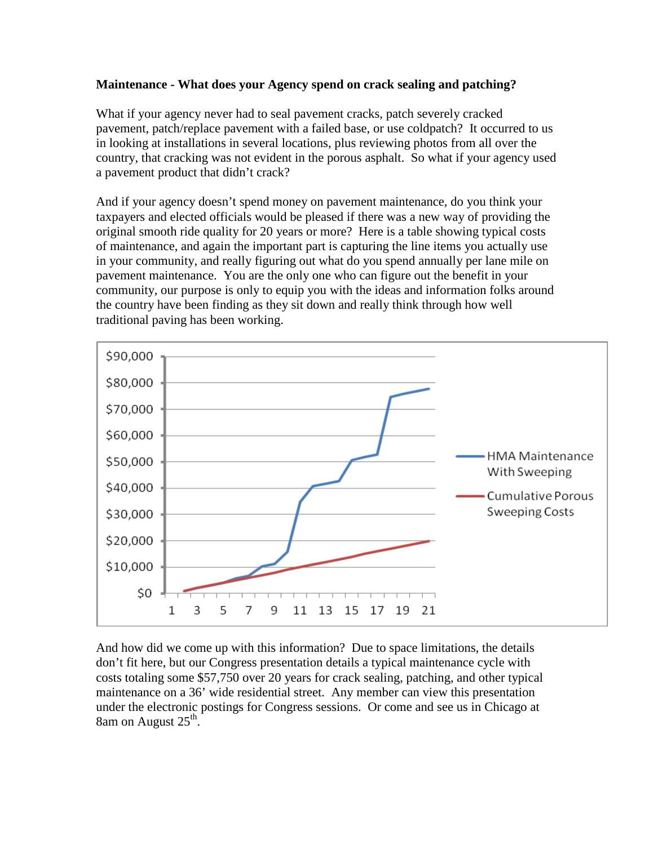## **Maintenance - What does your Agency spend on crack sealing and patching?**

What if your agency never had to seal pavement cracks, patch severely cracked pavement, patch/replace pavement with a failed base, or use coldpatch? It occurred to us in looking at installations in several locations, plus reviewing photos from all over the country, that cracking was not evident in the porous asphalt. So what if your agency used a pavement product that didn't crack?

And if your agency doesn't spend money on pavement maintenance, do you think your taxpayers and elected officials would be pleased if there was a new way of providing the original smooth ride quality for 20 years or more? Here is a table showing typical costs of maintenance, and again the important part is capturing the line items you actually use in your community, and really figuring out what do you spend annually per lane mile on pavement maintenance. You are the only one who can figure out the benefit in your community, our purpose is only to equip you with the ideas and information folks around the country have been finding as they sit down and really think through how well traditional paving has been working.



And how did we come up with this information? Due to space limitations, the details don't fit here, but our Congress presentation details a typical maintenance cycle with costs totaling some \$57,750 over 20 years for crack sealing, patching, and other typical maintenance on a 36' wide residential street. Any member can view this presentation under the electronic postings for Congress sessions. Or come and see us in Chicago at 8am on August  $25<sup>th</sup>$ .